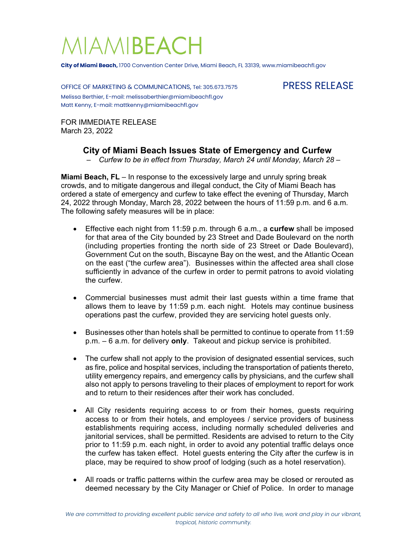## MIAMIBEACH

**City of Miami Beach,** 1700 Convention Center Drive, Miami Beach, FL 33139, www.miamibeachfl.gov

OFFICE OF MARKETING & COMMUNICATIONS, Tel: 305.673.7575 PRESS RELEASE Melissa Berthier, E-mail: melissaberthier@miamibeachfl.gov Matt Kenny, E-mail: mattkenny@miamibeachfl.gov

FOR IMMEDIATE RELEASE March 23, 2022

## **City of Miami Beach Issues State of Emergency and Curfew**

– *Curfew to be in effect from Thursday, March 24 until Monday, March 28 –*

**Miami Beach, FL** – In response to the excessively large and unruly spring break crowds, and to mitigate dangerous and illegal conduct, the City of Miami Beach has ordered a state of emergency and curfew to take effect the evening of Thursday, March 24, 2022 through Monday, March 28, 2022 between the hours of 11:59 p.m. and 6 a.m. The following safety measures will be in place:

- Effective each night from 11:59 p.m. through 6 a.m., a **curfew** shall be imposed for that area of the City bounded by 23 Street and Dade Boulevard on the north (including properties fronting the north side of 23 Street or Dade Boulevard), Government Cut on the south, Biscayne Bay on the west, and the Atlantic Ocean on the east ("the curfew area"). Businesses within the affected area shall close sufficiently in advance of the curfew in order to permit patrons to avoid violating the curfew.
- Commercial businesses must admit their last guests within a time frame that allows them to leave by 11:59 p.m. each night. Hotels may continue business operations past the curfew, provided they are servicing hotel guests only.
- Businesses other than hotels shall be permitted to continue to operate from 11:59 p.m. – 6 a.m. for delivery **only**. Takeout and pickup service is prohibited.
- The curfew shall not apply to the provision of designated essential services, such as fire, police and hospital services, including the transportation of patients thereto, utility emergency repairs, and emergency calls by physicians, and the curfew shall also not apply to persons traveling to their places of employment to report for work and to return to their residences after their work has concluded.
- All City residents requiring access to or from their homes, guests requiring access to or from their hotels, and employees / service providers of business establishments requiring access, including normally scheduled deliveries and janitorial services, shall be permitted. Residents are advised to return to the City prior to 11:59 p.m. each night, in order to avoid any potential traffic delays once the curfew has taken effect. Hotel guests entering the City after the curfew is in place, may be required to show proof of lodging (such as a hotel reservation).
- All roads or traffic patterns within the curfew area may be closed or rerouted as deemed necessary by the City Manager or Chief of Police. In order to manage